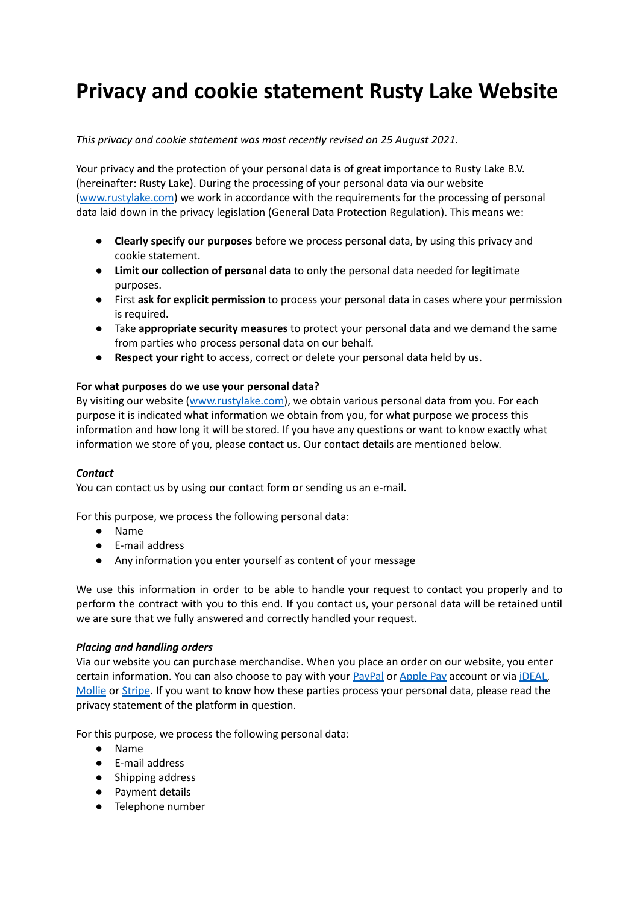# **Privacy and cookie statement Rusty Lake Website**

## *This privacy and cookie statement was most recently revised on 25 August 2021.*

Your privacy and the protection of your personal data is of great importance to Rusty Lake B.V. (hereinafter: Rusty Lake). During the processing of your personal data via our website [\(www.rustylake.com](http://www.rustylake.com)) we work in accordance with the requirements for the processing of personal data laid down in the privacy legislation (General Data Protection Regulation). This means we:

- **● Clearly specify our purposes** before we process personal data, by using this privacy and cookie statement.
- **● Limit our collection of personal data** to only the personal data needed for legitimate purposes.
- **●** First **ask for explicit permission** to process your personal data in cases where your permission is required.
- **●** Take **appropriate security measures** to protect your personal data and we demand the same from parties who process personal data on our behalf.
- **● Respect your right** to access, correct or delete your personal data held by us.

## **For what purposes do we use your personal data?**

By visiting our website ([www.rustylake.com\)](http://www.rustylake.com), we obtain various personal data from you. For each purpose it is indicated what information we obtain from you, for what purpose we process this information and how long it will be stored. If you have any questions or want to know exactly what information we store of you, please contact us. Our contact details are mentioned below.

#### *Contact*

You can contact us by using our contact form or sending us an e-mail.

For this purpose, we process the following personal data:

- Name
- E-mail address
- Any information you enter yourself as content of your message

We use this information in order to be able to handle your request to contact you properly and to perform the contract with you to this end. If you contact us, your personal data will be retained until we are sure that we fully answered and correctly handled your request.

#### *Placing and handling orders*

Via our website you can purchase merchandise. When you place an order on our website, you enter certain information. You can also choose to pay with your [PayPal](https://www.paypal.com/de/webapps/mpp/ua/privacy-full?locale.x=en_EN) or [Apple](https://www.apple.com/legal/privacy/en-ww/) Pay account or via [iDEAL](https://www.ideal.nl/en/disclaimer-privacy-statement/), [Mollie](https://www.mollie.com/uk/privacy) or [Stripe](https://stripe.com/en-nl/privacy). If you want to know how these parties process your personal data, please read the privacy statement of the platform in question.

For this purpose, we process the following personal data:

- Name
- E-mail address
- Shipping address
- Payment details
- Telephone number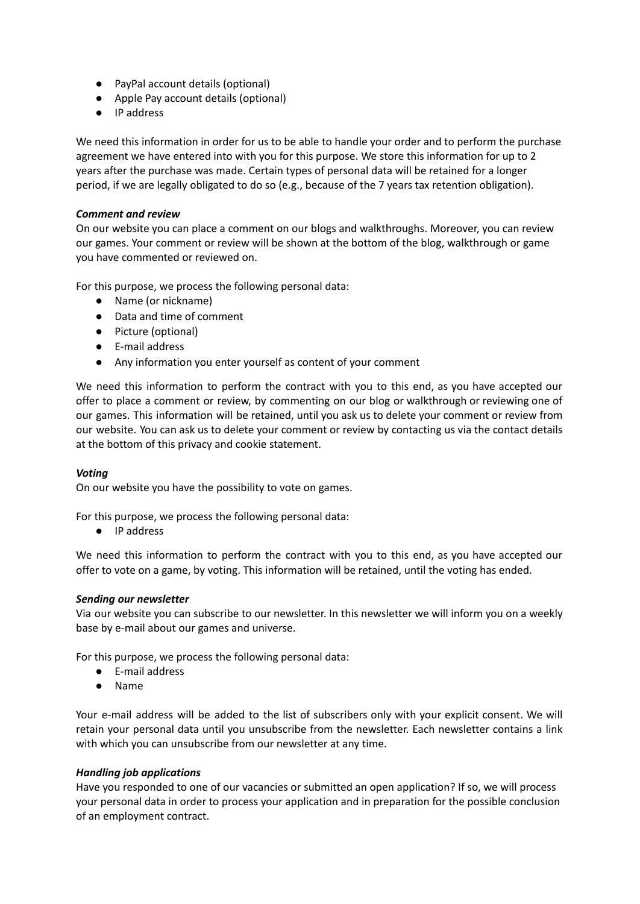- PayPal account details (optional)
- Apple Pay account details (optional)
- IP address

We need this information in order for us to be able to handle your order and to perform the purchase agreement we have entered into with you for this purpose. We store this information for up to 2 years after the purchase was made. Certain types of personal data will be retained for a longer period, if we are legally obligated to do so (e.g., because of the 7 years tax retention obligation).

## *Comment and review*

On our website you can place a comment on our blogs and walkthroughs. Moreover, you can review our games. Your comment or review will be shown at the bottom of the blog, walkthrough or game you have commented or reviewed on.

For this purpose, we process the following personal data:

- Name (or nickname)
- Data and time of comment
- Picture (optional)
- E-mail address
- Any information you enter yourself as content of your comment

We need this information to perform the contract with you to this end, as you have accepted our offer to place a comment or review, by commenting on our blog or walkthrough or reviewing one of our games. This information will be retained, until you ask us to delete your comment or review from our website. You can ask us to delete your comment or review by contacting us via the contact details at the bottom of this privacy and cookie statement.

#### *Voting*

On our website you have the possibility to vote on games.

For this purpose, we process the following personal data:

● IP address

We need this information to perform the contract with you to this end, as you have accepted our offer to vote on a game, by voting. This information will be retained, until the voting has ended.

#### *Sending our newsletter*

Via our website you can subscribe to our newsletter. In this newsletter we will inform you on a weekly base by e-mail about our games and universe.

For this purpose, we process the following personal data:

- E-mail address
- Name

Your e-mail address will be added to the list of subscribers only with your explicit consent. We will retain your personal data until you unsubscribe from the newsletter. Each newsletter contains a link with which you can unsubscribe from our newsletter at any time.

#### *Handling job applications*

Have you responded to one of our vacancies or submitted an open application? If so, we will process your personal data in order to process your application and in preparation for the possible conclusion of an employment contract.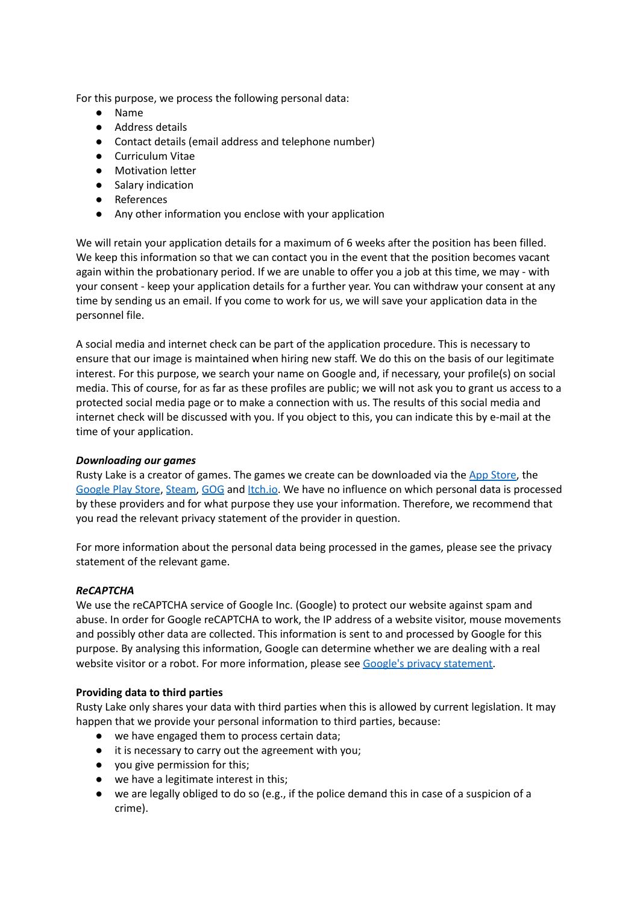For this purpose, we process the following personal data:

- Name
- Address details
- Contact details (email address and telephone number)
- Curriculum Vitae
- Motivation letter
- Salary indication
- References
- Any other information you enclose with your application

We will retain your application details for a maximum of 6 weeks after the position has been filled. We keep this information so that we can contact you in the event that the position becomes vacant again within the probationary period. If we are unable to offer you a job at this time, we may - with your consent - keep your application details for a further year. You can withdraw your consent at any time by sending us an email. If you come to work for us, we will save your application data in the personnel file.

A social media and internet check can be part of the application procedure. This is necessary to ensure that our image is maintained when hiring new staff. We do this on the basis of our legitimate interest. For this purpose, we search your name on Google and, if necessary, your profile(s) on social media. This of course, for as far as these profiles are public; we will not ask you to grant us access to a protected social media page or to make a connection with us. The results of this social media and internet check will be discussed with you. If you object to this, you can indicate this by e-mail at the time of your application.

#### *Downloading our games*

Rusty Lake is a creator of games. The games we create can be downloaded via the App [Store](https://www.apple.com/legal/privacy/en-ww/), the [Google](https://policies.google.com/privacy?hl=en) Play Store, [Steam,](https://store.steampowered.com/privacy_agreement/english/?l=english) [GOG](https://support.gog.com/hc/en-us/articles/212632109-Privacy-Policy?_ga=2.195370924.1854653133.1629904412-1058183345.1629904412&product=gog) and [Itch.io.](https://itch.io/docs/legal/privacy-policy) We have no influence on which personal data is processed by these providers and for what purpose they use your information. Therefore, we recommend that you read the relevant privacy statement of the provider in question.

For more information about the personal data being processed in the games, please see the privacy statement of the relevant game.

# *ReCAPTCHA*

We use the reCAPTCHA service of Google Inc. (Google) to protect our website against spam and abuse. In order for Google reCAPTCHA to work, the IP address of a website visitor, mouse movements and possibly other data are collected. This information is sent to and processed by Google for this purpose. By analysing this information, Google can determine whether we are dealing with a real website visitor or a robot. For more information, please see Google's privacy [statement.](https://policies.google.com/privacy?hl=en-US)

#### **Providing data to third parties**

Rusty Lake only shares your data with third parties when this is allowed by current legislation. It may happen that we provide your personal information to third parties, because:

- we have engaged them to process certain data;
- it is necessary to carry out the agreement with you;
- you give permission for this;
- we have a legitimate interest in this;
- we are legally obliged to do so (e.g., if the police demand this in case of a suspicion of a crime).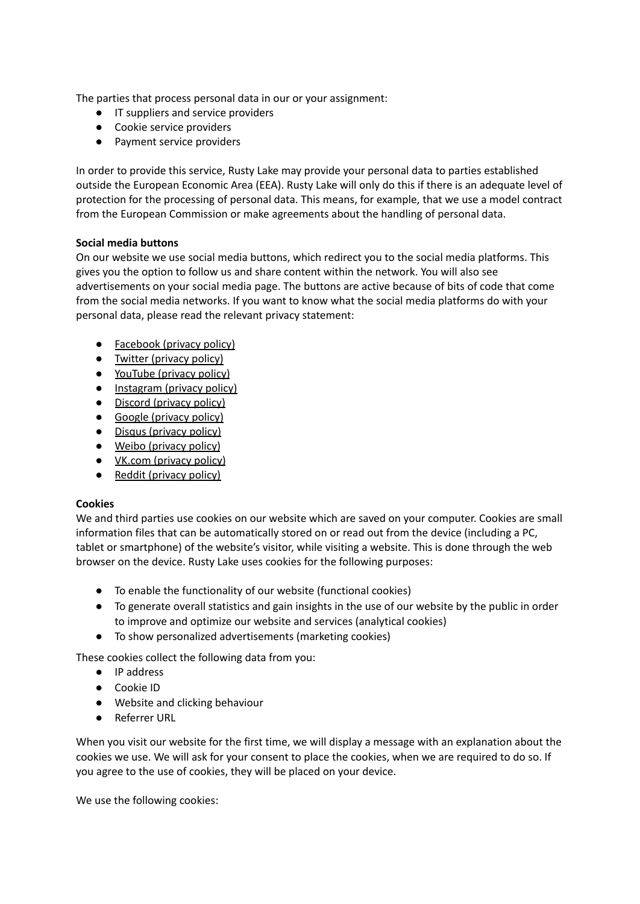The parties that process personal data in our or your assignment:

- IT suppliers and service providers
- Cookie service providers
- Payment service providers

In order to provide this service, Rusty Lake may provide your personal data to parties established outside the European Economic Area (EEA). Rusty Lake will only do this if there is an adequate level of protection for the processing of personal data. This means, for example, that we use a model contract from the European Commission or make agreements about the handling of personal data.

## **Social media buttons**

On our website we use social media buttons, which redirect you to the social media platforms. This gives you the option to follow us and share content within the network. You will also see advertisements on your social media page. The buttons are active because of bits of code that come from the social media networks. If you want to know what the social media platforms do with your personal data, please read the relevant privacy statement:

- [Facebook](https://www.facebook.com/policy.php) (privacy policy)
- Twitter [\(privacy](https://twitter.com/en/privacy) policy)
- [YouTube](https://policies.google.com/privacy?hl=en-US) (privacy policy)
- [Instagram](https://help.instagram.com/519522125107875) (privacy policy)
- Discord [\(privacy](https://discord.com/privacy) policy)
- Google [\(privacy](https://policies.google.com/privacy?hl=en-US) policy)
- Disqus [\(privacy](https://help.disqus.com/en/articles/1717103-disqus-privacy-policy) policy)
- Weibo [\(privacy](https://weibo.com/ttarticle/p/show?id=2309404296514129241275) policy)
- <u>VK.com [\(privacy](https://m.vk.com/privacy?api_view=1&cc=CN&lang=en) policy)</u>
- Reddit ([privacy](https://www.redditinc.com/policies/privacy-policy-october-15-2020) policy)

# **Cookies**

We and third parties use cookies on our website which are saved on your computer. Cookies are small information files that can be automatically stored on or read out from the device (including a PC, tablet or smartphone) of the website's visitor, while visiting a website. This is done through the web browser on the device. Rusty Lake uses cookies for the following purposes:

- To enable the functionality of our website (functional cookies)
- To generate overall statistics and gain insights in the use of our website by the public in order to improve and optimize our website and services (analytical cookies)
- To show personalized advertisements (marketing cookies)

These cookies collect the following data from you:

- IP address
- Cookie ID
- Website and clicking behaviour
- Referrer URL

When you visit our website for the first time, we will display a message with an explanation about the cookies we use. We will ask for your consent to place the cookies, when we are required to do so. If you agree to the use of cookies, they will be placed on your device.

We use the following cookies: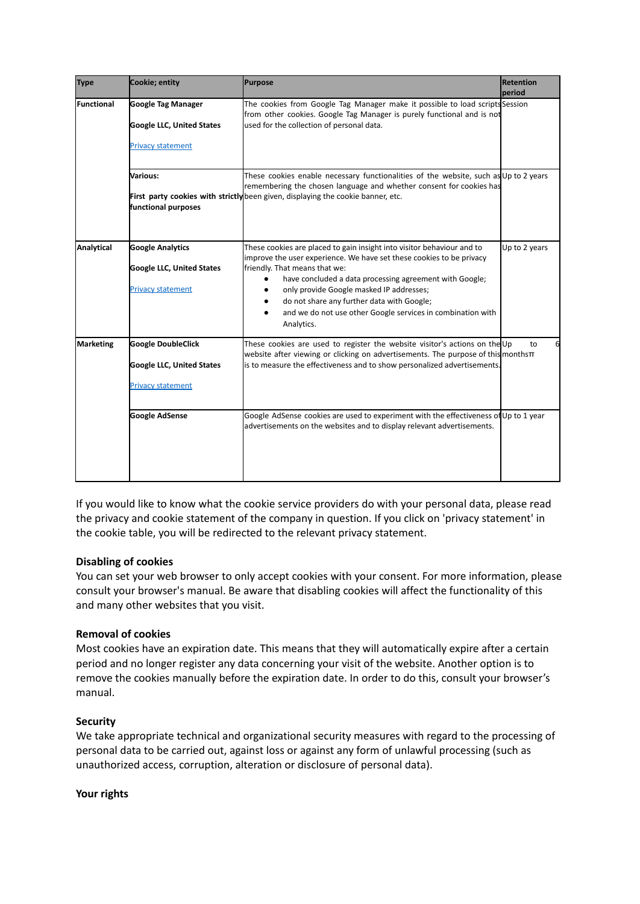| <b>Type</b> | Cookie; entity                                                                            | <b>Purpose</b>                                                                                                                                                                                                                                                                                                                                                                                                                 | <b>Retention</b><br>period |
|-------------|-------------------------------------------------------------------------------------------|--------------------------------------------------------------------------------------------------------------------------------------------------------------------------------------------------------------------------------------------------------------------------------------------------------------------------------------------------------------------------------------------------------------------------------|----------------------------|
| lFunctional | <b>Google Tag Manager</b><br><b>Google LLC, United States</b><br><b>Privacy statement</b> | The cookies from Google Tag Manager make it possible to load scripts Session<br>from other cookies. Google Tag Manager is purely functional and is not<br>used for the collection of personal data.                                                                                                                                                                                                                            |                            |
|             | Various:<br>functional purposes                                                           | These cookies enable necessary functionalities of the website, such as Up to 2 years<br>remembering the chosen language and whether consent for cookies has<br>First party cookies with strictly been given, displaying the cookie banner, etc.                                                                                                                                                                                |                            |
| Analytical  | <b>Google Analytics</b><br><b>Google LLC, United States</b><br><b>Privacy statement</b>   | These cookies are placed to gain insight into visitor behaviour and to<br>improve the user experience. We have set these cookies to be privacy<br>friendly. That means that we:<br>have concluded a data processing agreement with Google;<br>$\bullet$<br>only provide Google masked IP addresses;<br>do not share any further data with Google;<br>and we do not use other Google services in combination with<br>Analytics. | Up to 2 years              |
| Marketing   | <b>Google DoubleClick</b><br><b>Google LLC, United States</b><br><b>Privacy statement</b> | These cookies are used to register the website visitor's actions on the Up<br>website after viewing or clicking on advertisements. The purpose of this months $\pi$<br>is to measure the effectiveness and to show personalized advertisements.                                                                                                                                                                                | to                         |
|             | <b>Google AdSense</b>                                                                     | Google AdSense cookies are used to experiment with the effectiveness of Up to 1 year<br>advertisements on the websites and to display relevant advertisements.                                                                                                                                                                                                                                                                 |                            |

If you would like to know what the cookie service providers do with your personal data, please read the privacy and cookie statement of the company in question. If you click on 'privacy statement' in the cookie table, you will be redirected to the relevant privacy statement.

# **Disabling of cookies**

You can set your web browser to only accept cookies with your consent. For more information, please consult your browser's manual. Be aware that disabling cookies will affect the functionality of this and many other websites that you visit.

#### **Removal of cookies**

Most cookies have an expiration date. This means that they will automatically expire after a certain period and no longer register any data concerning your visit of the website. Another option is to remove the cookies manually before the expiration date. In order to do this, consult your browser's manual.

#### **Security**

We take appropriate technical and organizational security measures with regard to the processing of personal data to be carried out, against loss or against any form of unlawful processing (such as unauthorized access, corruption, alteration or disclosure of personal data).

#### **Your rights**